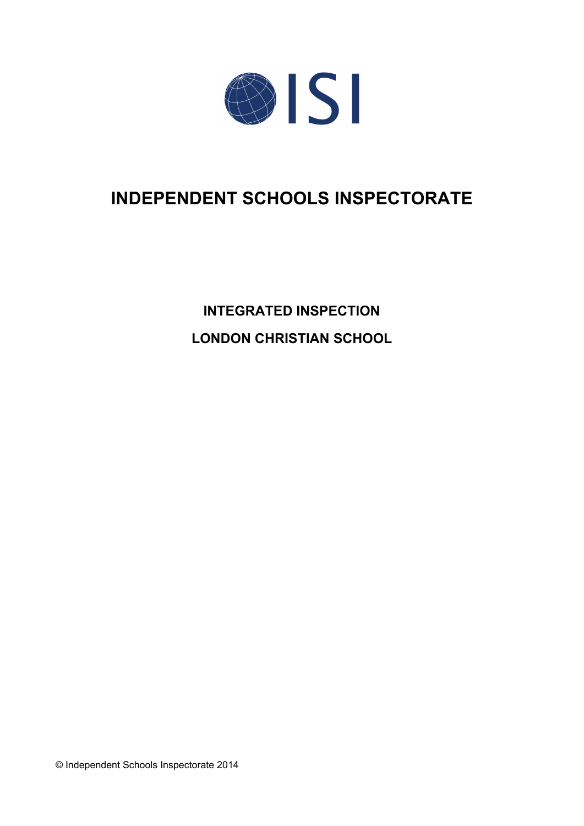

# **INDEPENDENT SCHOOLS INSPECTORATE**

**INTEGRATED INSPECTION LONDON CHRISTIAN SCHOOL**

© Independent Schools Inspectorate 2014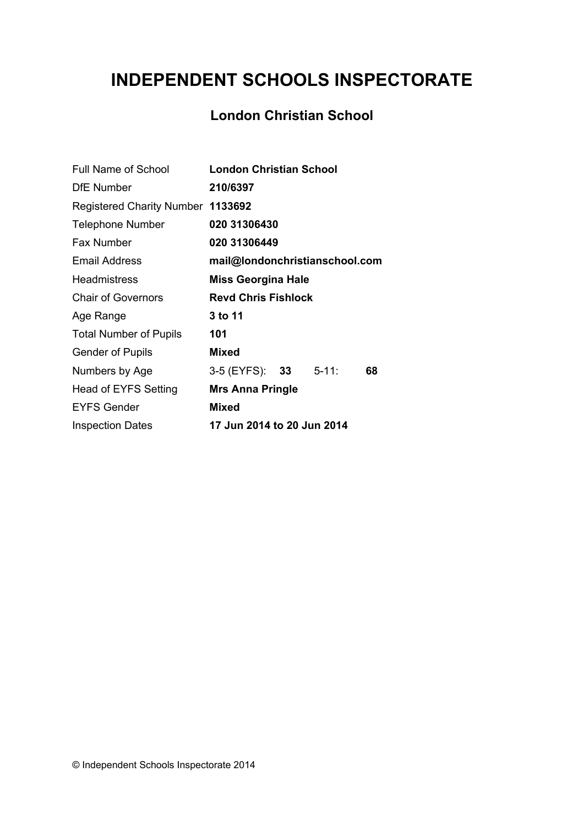# **INDEPENDENT SCHOOLS INSPECTORATE**

## **London Christian School**

| <b>Full Name of School</b>        | <b>London Christian School</b>            |
|-----------------------------------|-------------------------------------------|
| <b>DfE</b> Number                 | 210/6397                                  |
| Registered Charity Number 1133692 |                                           |
| <b>Telephone Number</b>           | 020 31306430                              |
| <b>Fax Number</b>                 | 020 31306449                              |
| <b>Email Address</b>              | mail@londonchristianschool.com            |
| <b>Headmistress</b>               | <b>Miss Georgina Hale</b>                 |
| <b>Chair of Governors</b>         | <b>Revd Chris Fishlock</b>                |
| Age Range                         | 3 to 11                                   |
| <b>Total Number of Pupils</b>     | 101                                       |
| <b>Gender of Pupils</b>           | <b>Mixed</b>                              |
| Numbers by Age                    | 3-5 (EYFS): <b>33</b><br>$5 - 11$ :<br>68 |
| Head of EYFS Setting              | <b>Mrs Anna Pringle</b>                   |
| <b>EYFS Gender</b>                | <b>Mixed</b>                              |
| <b>Inspection Dates</b>           | 17 Jun 2014 to 20 Jun 2014                |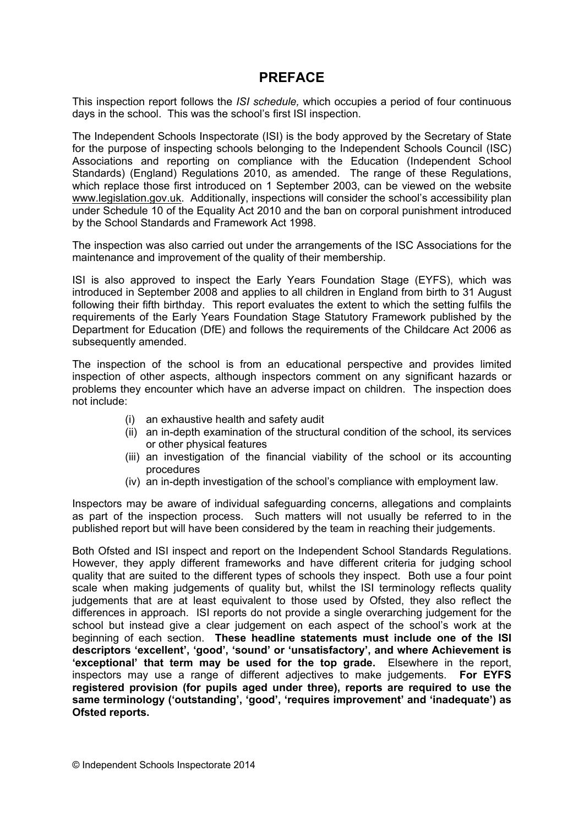## **PREFACE**

This inspection report follows the *ISI schedule,* which occupies a period of four continuous days in the school. This was the school's first ISI inspection.

The Independent Schools Inspectorate (ISI) is the body approved by the Secretary of State for the purpose of inspecting schools belonging to the Independent Schools Council (ISC) Associations and reporting on compliance with the Education (Independent School Standards) (England) Regulations 2010, as amended. The range of these Regulations, which replace those first introduced on 1 September 2003, can be viewed on the website [www.legislation.gov.uk.](http://www.legislation.gov.uk) Additionally, inspections will consider the school's accessibility plan under Schedule 10 of the Equality Act 2010 and the ban on corporal punishment introduced by the School Standards and Framework Act 1998.

The inspection was also carried out under the arrangements of the ISC Associations for the maintenance and improvement of the quality of their membership.

ISI is also approved to inspect the Early Years Foundation Stage (EYFS), which was introduced in September 2008 and applies to all children in England from birth to 31 August following their fifth birthday. This report evaluates the extent to which the setting fulfils the requirements of the Early Years Foundation Stage Statutory Framework published by the Department for Education (DfE) and follows the requirements of the Childcare Act 2006 as subsequently amended.

The inspection of the school is from an educational perspective and provides limited inspection of other aspects, although inspectors comment on any significant hazards or problems they encounter which have an adverse impact on children. The inspection does not include:

- (i) an exhaustive health and safety audit
- (ii) an in-depth examination of the structural condition of the school, its services or other physical features
- (iii) an investigation of the financial viability of the school or its accounting procedures
- (iv) an in-depth investigation of the school's compliance with employment law.

Inspectors may be aware of individual safeguarding concerns, allegations and complaints as part of the inspection process. Such matters will not usually be referred to in the published report but will have been considered by the team in reaching their judgements.

Both Ofsted and ISI inspect and report on the Independent School Standards Regulations. However, they apply different frameworks and have different criteria for judging school quality that are suited to the different types of schools they inspect. Both use a four point scale when making judgements of quality but, whilst the ISI terminology reflects quality judgements that are at least equivalent to those used by Ofsted, they also reflect the differences in approach. ISI reports do not provide a single overarching judgement for the school but instead give a clear judgement on each aspect of the school's work at the beginning of each section. **These headline statements must include one of the ISI descriptors 'excellent', 'good', 'sound' or 'unsatisfactory', and where Achievement is 'exceptional' that term may be used for the top grade.** Elsewhere in the report, inspectors may use a range of different adjectives to make judgements. **For EYFS registered provision (for pupils aged under three), reports are required to use the same terminology ('outstanding', 'good', 'requires improvement' and 'inadequate') as Ofsted reports.**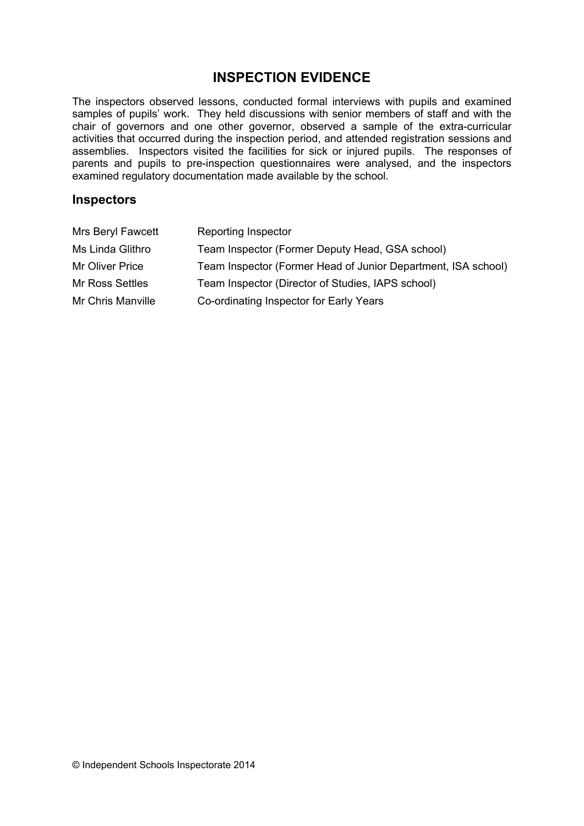## **INSPECTION EVIDENCE**

The inspectors observed lessons, conducted formal interviews with pupils and examined samples of pupils' work. They held discussions with senior members of staff and with the chair of governors and one other governor, observed a sample of the extra-curricular activities that occurred during the inspection period, and attended registration sessions and assemblies. Inspectors visited the facilities for sick or injured pupils. The responses of parents and pupils to pre-inspection questionnaires were analysed, and the inspectors examined regulatory documentation made available by the school.

#### **Inspectors**

| Mrs Beryl Fawcett | <b>Reporting Inspector</b>                                    |
|-------------------|---------------------------------------------------------------|
| Ms Linda Glithro  | Team Inspector (Former Deputy Head, GSA school)               |
| Mr Oliver Price   | Team Inspector (Former Head of Junior Department, ISA school) |
| Mr Ross Settles   | Team Inspector (Director of Studies, IAPS school)             |
| Mr Chris Manville | Co-ordinating Inspector for Early Years                       |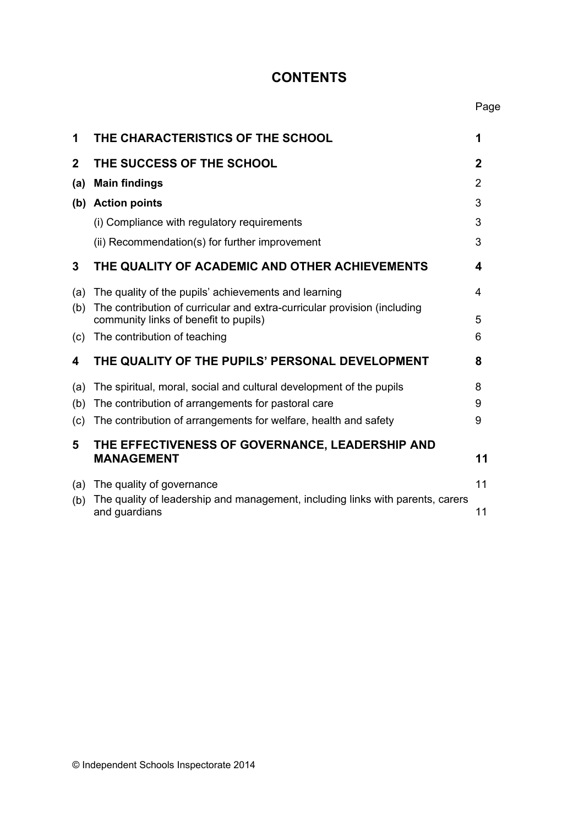## **CONTENTS**

Page

| 1            | THE CHARACTERISTICS OF THE SCHOOL                                                                                 | 1  |
|--------------|-------------------------------------------------------------------------------------------------------------------|----|
| $\mathbf{2}$ | THE SUCCESS OF THE SCHOOL                                                                                         | 2  |
| (a)          | <b>Main findings</b>                                                                                              | 2  |
|              | (b) Action points                                                                                                 | 3  |
|              | (i) Compliance with regulatory requirements                                                                       | 3  |
|              | (ii) Recommendation(s) for further improvement                                                                    | 3  |
| 3            | THE QUALITY OF ACADEMIC AND OTHER ACHIEVEMENTS                                                                    | 4  |
| (a)          | The quality of the pupils' achievements and learning                                                              | 4  |
| (b)          | The contribution of curricular and extra-curricular provision (including<br>community links of benefit to pupils) | 5  |
| (c)          | The contribution of teaching                                                                                      | 6  |
| 4            | THE QUALITY OF THE PUPILS' PERSONAL DEVELOPMENT                                                                   | 8  |
| (a)          | The spiritual, moral, social and cultural development of the pupils                                               | 8  |
| (b)          | The contribution of arrangements for pastoral care                                                                | 9  |
| (c)          | The contribution of arrangements for welfare, health and safety                                                   | 9  |
| 5            | THE EFFECTIVENESS OF GOVERNANCE, LEADERSHIP AND<br><b>MANAGEMENT</b>                                              | 11 |
|              |                                                                                                                   |    |
| (a)          | The quality of governance                                                                                         | 11 |
| (b)          | The quality of leadership and management, including links with parents, carers<br>and guardians                   | 11 |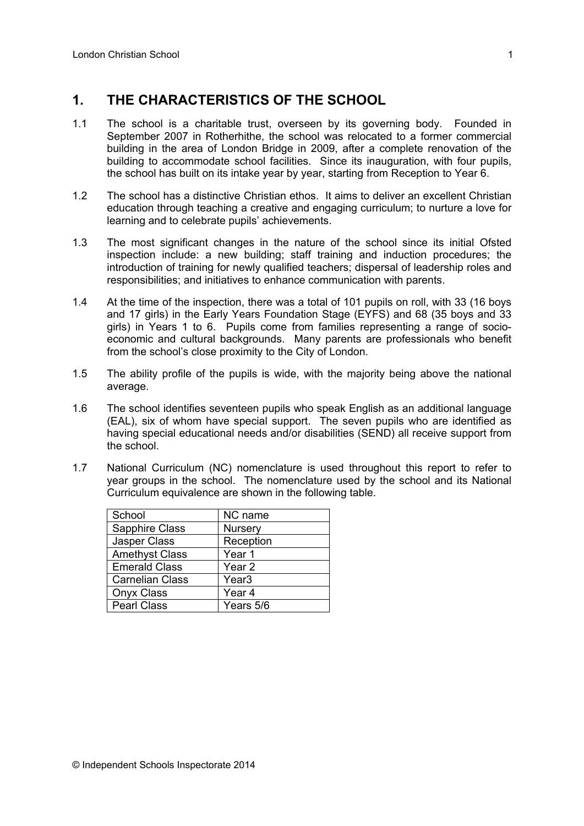## **1. THE CHARACTERISTICS OF THE SCHOOL**

- 1.1 The school is a charitable trust, overseen by its governing body. Founded in September 2007 in Rotherhithe, the school was relocated to a former commercial building in the area of London Bridge in 2009, after a complete renovation of the building to accommodate school facilities. Since its inauguration, with four pupils, the school has built on its intake year by year, starting from Reception to Year 6.
- 1.2 The school has a distinctive Christian ethos. It aims to deliver an excellent Christian education through teaching a creative and engaging curriculum; to nurture a love for learning and to celebrate pupils' achievements.
- 1.3 The most significant changes in the nature of the school since its initial Ofsted inspection include: a new building; staff training and induction procedures; the introduction of training for newly qualified teachers; dispersal of leadership roles and responsibilities; and initiatives to enhance communication with parents.
- 1.4 At the time of the inspection, there was a total of 101 pupils on roll, with 33 (16 boys and 17 girls) in the Early Years Foundation Stage (EYFS) and 68 (35 boys and 33 girls) in Years 1 to 6. Pupils come from families representing a range of socioeconomic and cultural backgrounds. Many parents are professionals who benefit from the school's close proximity to the City of London.
- 1.5 The ability profile of the pupils is wide, with the majority being above the national average.
- 1.6 The school identifies seventeen pupils who speak English as an additional language (EAL), six of whom have special support. The seven pupils who are identified as having special educational needs and/or disabilities (SEND) all receive support from the school.
- 1.7 National Curriculum (NC) nomenclature is used throughout this report to refer to year groups in the school. The nomenclature used by the school and its National Curriculum equivalence are shown in the following table.

| School                 | NC name           |
|------------------------|-------------------|
| Sapphire Class         | <b>Nursery</b>    |
| Jasper Class           | Reception         |
| <b>Amethyst Class</b>  | Year 1            |
| <b>Emerald Class</b>   | Year <sub>2</sub> |
| <b>Carnelian Class</b> | Year <sub>3</sub> |
| Onyx Class             | Year 4            |
| <b>Pearl Class</b>     | Years 5/6         |
|                        |                   |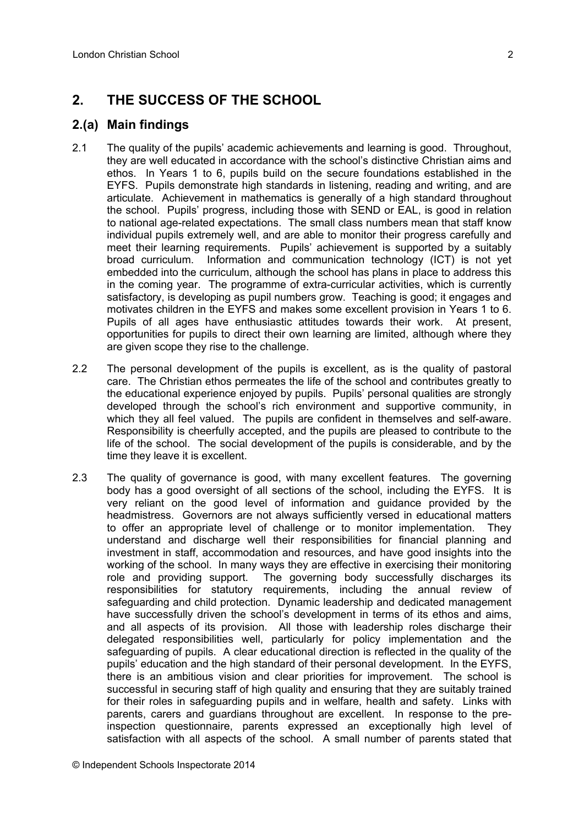## **2. THE SUCCESS OF THE SCHOOL**

#### **2.(a) Main findings**

- 2.1 The quality of the pupils' academic achievements and learning is good. Throughout, they are well educated in accordance with the school's distinctive Christian aims and ethos. In Years 1 to 6, pupils build on the secure foundations established in the EYFS. Pupils demonstrate high standards in listening, reading and writing, and are articulate. Achievement in mathematics is generally of a high standard throughout the school. Pupils' progress, including those with SEND or EAL, is good in relation to national age-related expectations. The small class numbers mean that staff know individual pupils extremely well, and are able to monitor their progress carefully and meet their learning requirements. Pupils' achievement is supported by a suitably broad curriculum. Information and communication technology (ICT) is not yet embedded into the curriculum, although the school has plans in place to address this in the coming year. The programme of extra-curricular activities, which is currently satisfactory, is developing as pupil numbers grow. Teaching is good; it engages and motivates children in the EYFS and makes some excellent provision in Years 1 to 6. Pupils of all ages have enthusiastic attitudes towards their work. At present, opportunities for pupils to direct their own learning are limited, although where they are given scope they rise to the challenge.
- 2.2 The personal development of the pupils is excellent, as is the quality of pastoral care. The Christian ethos permeates the life of the school and contributes greatly to the educational experience enjoyed by pupils. Pupils' personal qualities are strongly developed through the school's rich environment and supportive community, in which they all feel valued. The pupils are confident in themselves and self-aware. Responsibility is cheerfully accepted, and the pupils are pleased to contribute to the life of the school. The social development of the pupils is considerable, and by the time they leave it is excellent.
- 2.3 The quality of governance is good, with many excellent features. The governing body has a good oversight of all sections of the school, including the EYFS. It is very reliant on the good level of information and guidance provided by the headmistress. Governors are not always sufficiently versed in educational matters to offer an appropriate level of challenge or to monitor implementation. They understand and discharge well their responsibilities for financial planning and investment in staff, accommodation and resources, and have good insights into the working of the school. In many ways they are effective in exercising their monitoring role and providing support. The governing body successfully discharges its responsibilities for statutory requirements, including the annual review of safeguarding and child protection. Dynamic leadership and dedicated management have successfully driven the school's development in terms of its ethos and aims, and all aspects of its provision. All those with leadership roles discharge their delegated responsibilities well, particularly for policy implementation and the safeguarding of pupils. A clear educational direction is reflected in the quality of the pupils' education and the high standard of their personal development. In the EYFS, there is an ambitious vision and clear priorities for improvement. The school is successful in securing staff of high quality and ensuring that they are suitably trained for their roles in safeguarding pupils and in welfare, health and safety. Links with parents, carers and guardians throughout are excellent. In response to the preinspection questionnaire, parents expressed an exceptionally high level of satisfaction with all aspects of the school. A small number of parents stated that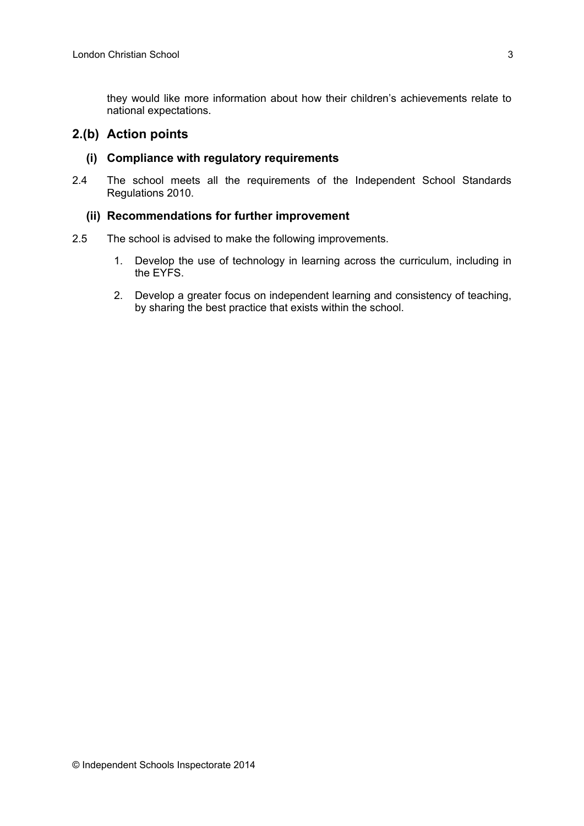they would like more information about how their children's achievements relate to national expectations.

#### **2.(b) Action points**

#### **(i) Compliance with regulatory requirements**

2.4 The school meets all the requirements of the Independent School Standards Regulations 2010.

#### **(ii) Recommendations for further improvement**

- 2.5 The school is advised to make the following improvements.
	- 1. Develop the use of technology in learning across the curriculum, including in the EYFS.
	- 2. Develop a greater focus on independent learning and consistency of teaching, by sharing the best practice that exists within the school.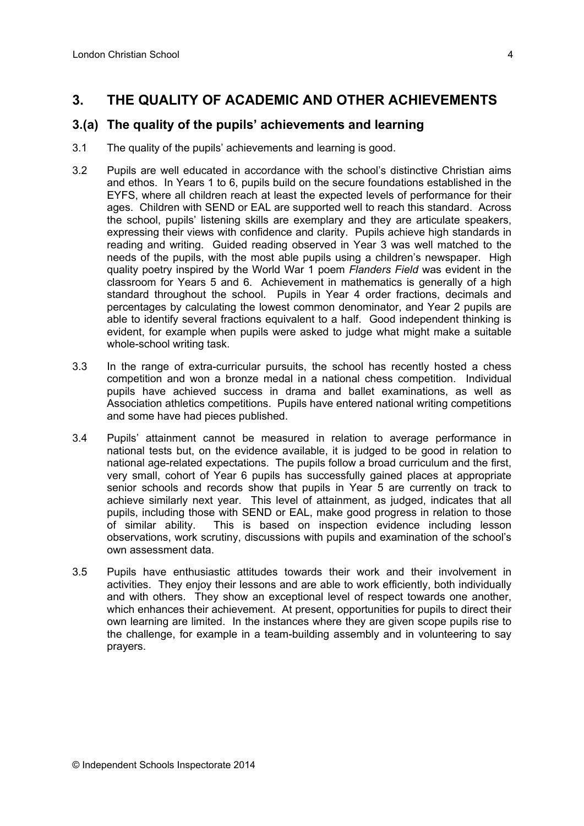## **3. THE QUALITY OF ACADEMIC AND OTHER ACHIEVEMENTS**

#### **3.(a) The quality of the pupils' achievements and learning**

- 3.1 The quality of the pupils' achievements and learning is good.
- 3.2 Pupils are well educated in accordance with the school's distinctive Christian aims and ethos. In Years 1 to 6, pupils build on the secure foundations established in the EYFS, where all children reach at least the expected levels of performance for their ages. Children with SEND or EAL are supported well to reach this standard. Across the school, pupils' listening skills are exemplary and they are articulate speakers, expressing their views with confidence and clarity. Pupils achieve high standards in reading and writing. Guided reading observed in Year 3 was well matched to the needs of the pupils, with the most able pupils using a children's newspaper. High quality poetry inspired by the World War 1 poem *Flanders Field* was evident in the classroom for Years 5 and 6. Achievement in mathematics is generally of a high standard throughout the school. Pupils in Year 4 order fractions, decimals and percentages by calculating the lowest common denominator, and Year 2 pupils are able to identify several fractions equivalent to a half. Good independent thinking is evident, for example when pupils were asked to judge what might make a suitable whole-school writing task.
- 3.3 In the range of extra-curricular pursuits, the school has recently hosted a chess competition and won a bronze medal in a national chess competition. Individual pupils have achieved success in drama and ballet examinations, as well as Association athletics competitions. Pupils have entered national writing competitions and some have had pieces published.
- 3.4 Pupils' attainment cannot be measured in relation to average performance in national tests but, on the evidence available, it is judged to be good in relation to national age-related expectations. The pupils follow a broad curriculum and the first, very small, cohort of Year 6 pupils has successfully gained places at appropriate senior schools and records show that pupils in Year 5 are currently on track to achieve similarly next year. This level of attainment, as judged, indicates that all pupils, including those with SEND or EAL, make good progress in relation to those of similar ability. This is based on inspection evidence including lesson observations, work scrutiny, discussions with pupils and examination of the school's own assessment data.
- 3.5 Pupils have enthusiastic attitudes towards their work and their involvement in activities. They enjoy their lessons and are able to work efficiently, both individually and with others. They show an exceptional level of respect towards one another, which enhances their achievement. At present, opportunities for pupils to direct their own learning are limited. In the instances where they are given scope pupils rise to the challenge, for example in a team-building assembly and in volunteering to say prayers.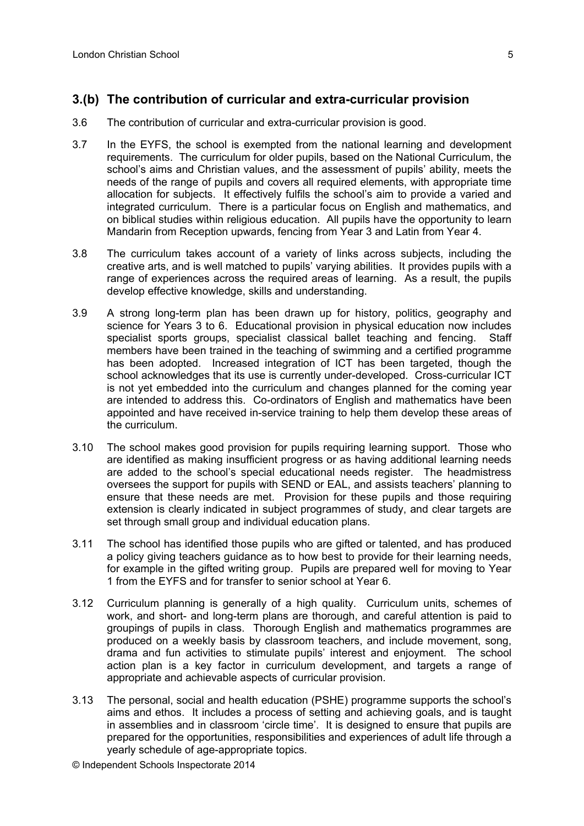### **3.(b) The contribution of curricular and extra-curricular provision**

- 3.6 The contribution of curricular and extra-curricular provision is good.
- 3.7 In the EYFS, the school is exempted from the national learning and development requirements. The curriculum for older pupils, based on the National Curriculum, the school's aims and Christian values, and the assessment of pupils' ability, meets the needs of the range of pupils and covers all required elements, with appropriate time allocation for subjects. It effectively fulfils the school's aim to provide a varied and integrated curriculum. There is a particular focus on English and mathematics, and on biblical studies within religious education. All pupils have the opportunity to learn Mandarin from Reception upwards, fencing from Year 3 and Latin from Year 4.
- 3.8 The curriculum takes account of a variety of links across subjects, including the creative arts, and is well matched to pupils' varying abilities. It provides pupils with a range of experiences across the required areas of learning. As a result, the pupils develop effective knowledge, skills and understanding.
- 3.9 A strong long-term plan has been drawn up for history, politics, geography and science for Years 3 to 6. Educational provision in physical education now includes specialist sports groups, specialist classical ballet teaching and fencing. Staff members have been trained in the teaching of swimming and a certified programme has been adopted. Increased integration of ICT has been targeted, though the school acknowledges that its use is currently under-developed. Cross-curricular ICT is not yet embedded into the curriculum and changes planned for the coming year are intended to address this. Co-ordinators of English and mathematics have been appointed and have received in-service training to help them develop these areas of the curriculum.
- 3.10 The school makes good provision for pupils requiring learning support. Those who are identified as making insufficient progress or as having additional learning needs are added to the school's special educational needs register. The headmistress oversees the support for pupils with SEND or EAL, and assists teachers' planning to ensure that these needs are met. Provision for these pupils and those requiring extension is clearly indicated in subject programmes of study, and clear targets are set through small group and individual education plans.
- 3.11 The school has identified those pupils who are gifted or talented, and has produced a policy giving teachers guidance as to how best to provide for their learning needs, for example in the gifted writing group. Pupils are prepared well for moving to Year 1 from the EYFS and for transfer to senior school at Year 6.
- 3.12 Curriculum planning is generally of a high quality. Curriculum units, schemes of work, and short- and long-term plans are thorough, and careful attention is paid to groupings of pupils in class. Thorough English and mathematics programmes are produced on a weekly basis by classroom teachers, and include movement, song, drama and fun activities to stimulate pupils' interest and enjoyment. The school action plan is a key factor in curriculum development, and targets a range of appropriate and achievable aspects of curricular provision.
- 3.13 The personal, social and health education (PSHE) programme supports the school's aims and ethos. It includes a process of setting and achieving goals, and is taught in assemblies and in classroom 'circle time'. It is designed to ensure that pupils are prepared for the opportunities, responsibilities and experiences of adult life through a yearly schedule of age-appropriate topics.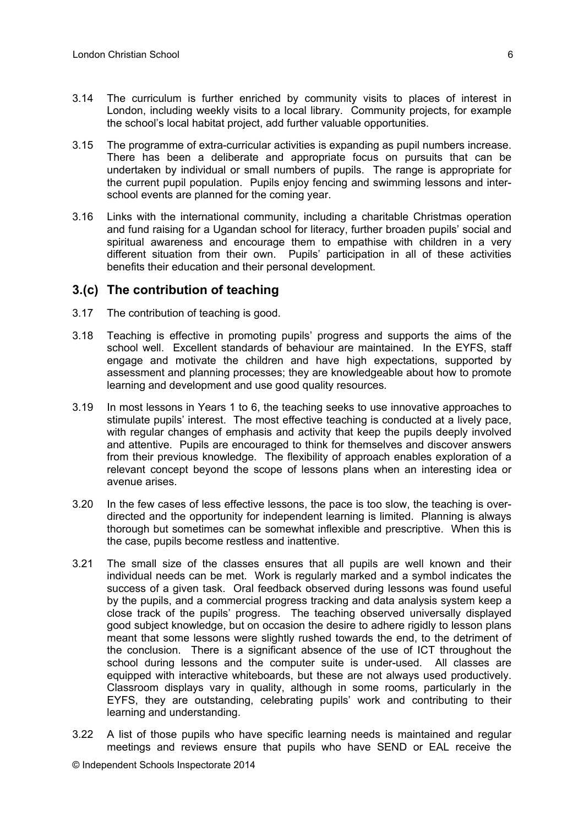- 3.14 The curriculum is further enriched by community visits to places of interest in London, including weekly visits to a local library. Community projects, for example the school's local habitat project, add further valuable opportunities.
- 3.15 The programme of extra-curricular activities is expanding as pupil numbers increase. There has been a deliberate and appropriate focus on pursuits that can be undertaken by individual or small numbers of pupils. The range is appropriate for the current pupil population. Pupils enjoy fencing and swimming lessons and interschool events are planned for the coming year.
- 3.16 Links with the international community, including a charitable Christmas operation and fund raising for a Ugandan school for literacy, further broaden pupils' social and spiritual awareness and encourage them to empathise with children in a very different situation from their own. Pupils' participation in all of these activities benefits their education and their personal development.

#### **3.(c) The contribution of teaching**

- 3.17 The contribution of teaching is good.
- 3.18 Teaching is effective in promoting pupils' progress and supports the aims of the school well. Excellent standards of behaviour are maintained. In the EYFS, staff engage and motivate the children and have high expectations, supported by assessment and planning processes; they are knowledgeable about how to promote learning and development and use good quality resources*.*
- 3.19 In most lessons in Years 1 to 6, the teaching seeks to use innovative approaches to stimulate pupils' interest. The most effective teaching is conducted at a lively pace, with regular changes of emphasis and activity that keep the pupils deeply involved and attentive. Pupils are encouraged to think for themselves and discover answers from their previous knowledge. The flexibility of approach enables exploration of a relevant concept beyond the scope of lessons plans when an interesting idea or avenue arises.
- 3.20 In the few cases of less effective lessons, the pace is too slow, the teaching is overdirected and the opportunity for independent learning is limited. Planning is always thorough but sometimes can be somewhat inflexible and prescriptive. When this is the case, pupils become restless and inattentive.
- 3.21 The small size of the classes ensures that all pupils are well known and their individual needs can be met. Work is regularly marked and a symbol indicates the success of a given task. Oral feedback observed during lessons was found useful by the pupils, and a commercial progress tracking and data analysis system keep a close track of the pupils' progress. The teaching observed universally displayed good subject knowledge, but on occasion the desire to adhere rigidly to lesson plans meant that some lessons were slightly rushed towards the end, to the detriment of the conclusion. There is a significant absence of the use of ICT throughout the school during lessons and the computer suite is under-used. All classes are equipped with interactive whiteboards, but these are not always used productively. Classroom displays vary in quality, although in some rooms, particularly in the EYFS, they are outstanding, celebrating pupils' work and contributing to their learning and understanding.
- 3.22 A list of those pupils who have specific learning needs is maintained and regular meetings and reviews ensure that pupils who have SEND or EAL receive the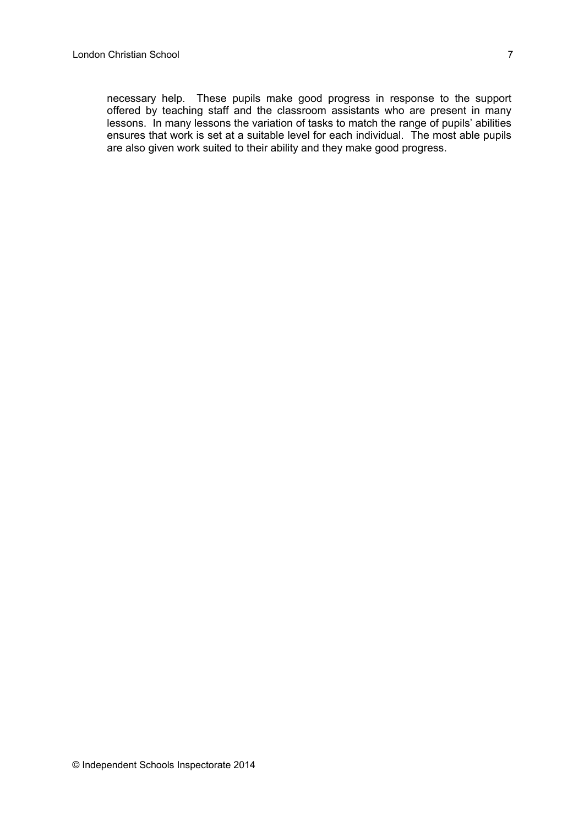necessary help. These pupils make good progress in response to the support offered by teaching staff and the classroom assistants who are present in many lessons. In many lessons the variation of tasks to match the range of pupils' abilities ensures that work is set at a suitable level for each individual. The most able pupils are also given work suited to their ability and they make good progress.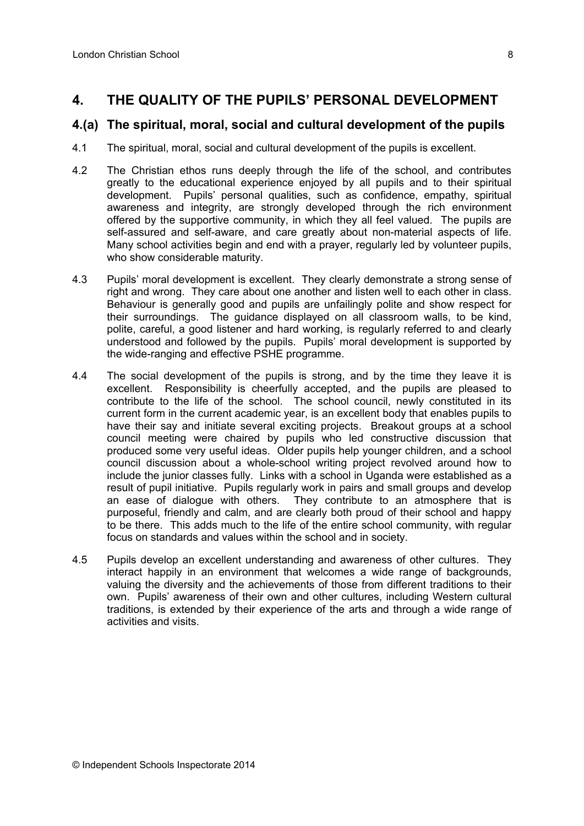## **4. THE QUALITY OF THE PUPILS' PERSONAL DEVELOPMENT**

#### **4.(a) The spiritual, moral, social and cultural development of the pupils**

- 4.1 The spiritual, moral, social and cultural development of the pupils is excellent.
- 4.2 The Christian ethos runs deeply through the life of the school, and contributes greatly to the educational experience enjoyed by all pupils and to their spiritual development. Pupils' personal qualities, such as confidence, empathy, spiritual awareness and integrity, are strongly developed through the rich environment offered by the supportive community, in which they all feel valued. The pupils are self-assured and self-aware, and care greatly about non-material aspects of life. Many school activities begin and end with a prayer, regularly led by volunteer pupils, who show considerable maturity.
- 4.3 Pupils' moral development is excellent. They clearly demonstrate a strong sense of right and wrong. They care about one another and listen well to each other in class. Behaviour is generally good and pupils are unfailingly polite and show respect for their surroundings. The guidance displayed on all classroom walls, to be kind, polite, careful, a good listener and hard working, is regularly referred to and clearly understood and followed by the pupils. Pupils' moral development is supported by the wide-ranging and effective PSHE programme.
- 4.4 The social development of the pupils is strong, and by the time they leave it is excellent. Responsibility is cheerfully accepted, and the pupils are pleased to contribute to the life of the school. The school council, newly constituted in its current form in the current academic year, is an excellent body that enables pupils to have their say and initiate several exciting projects. Breakout groups at a school council meeting were chaired by pupils who led constructive discussion that produced some very useful ideas. Older pupils help younger children, and a school council discussion about a whole-school writing project revolved around how to include the junior classes fully. Links with a school in Uganda were established as a result of pupil initiative. Pupils regularly work in pairs and small groups and develop an ease of dialogue with others. They contribute to an atmosphere that is purposeful, friendly and calm, and are clearly both proud of their school and happy to be there. This adds much to the life of the entire school community, with regular focus on standards and values within the school and in society.
- 4.5 Pupils develop an excellent understanding and awareness of other cultures. They interact happily in an environment that welcomes a wide range of backgrounds, valuing the diversity and the achievements of those from different traditions to their own. Pupils' awareness of their own and other cultures, including Western cultural traditions, is extended by their experience of the arts and through a wide range of activities and visits.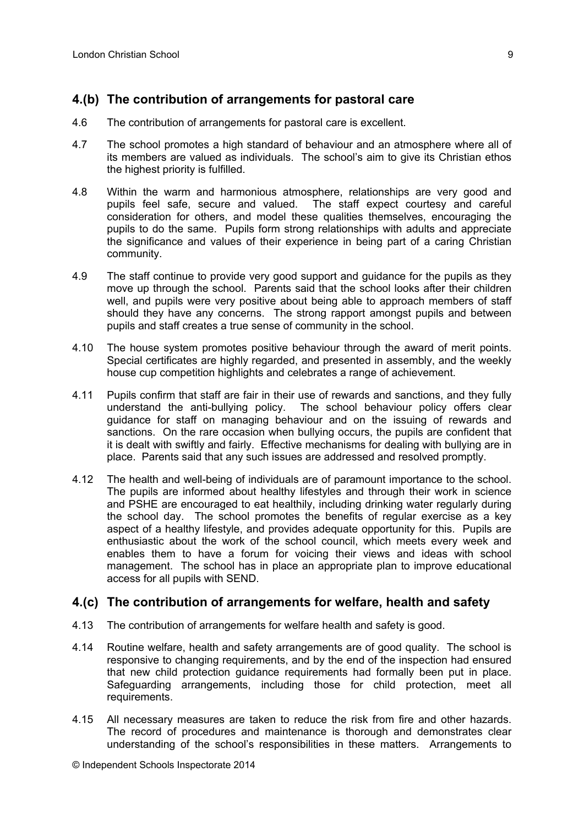## **4.(b) The contribution of arrangements for pastoral care**

- 4.6 The contribution of arrangements for pastoral care is excellent.
- 4.7 The school promotes a high standard of behaviour and an atmosphere where all of its members are valued as individuals. The school's aim to give its Christian ethos the highest priority is fulfilled.
- 4.8 Within the warm and harmonious atmosphere, relationships are very good and pupils feel safe, secure and valued. The staff expect courtesy and careful consideration for others, and model these qualities themselves, encouraging the pupils to do the same. Pupils form strong relationships with adults and appreciate the significance and values of their experience in being part of a caring Christian community.
- 4.9 The staff continue to provide very good support and guidance for the pupils as they move up through the school. Parents said that the school looks after their children well, and pupils were very positive about being able to approach members of staff should they have any concerns. The strong rapport amongst pupils and between pupils and staff creates a true sense of community in the school.
- 4.10 The house system promotes positive behaviour through the award of merit points. Special certificates are highly regarded, and presented in assembly, and the weekly house cup competition highlights and celebrates a range of achievement.
- 4.11 Pupils confirm that staff are fair in their use of rewards and sanctions, and they fully understand the anti-bullying policy. The school behaviour policy offers clear guidance for staff on managing behaviour and on the issuing of rewards and sanctions. On the rare occasion when bullying occurs, the pupils are confident that it is dealt with swiftly and fairly. Effective mechanisms for dealing with bullying are in place. Parents said that any such issues are addressed and resolved promptly.
- 4.12 The health and well-being of individuals are of paramount importance to the school. The pupils are informed about healthy lifestyles and through their work in science and PSHE are encouraged to eat healthily, including drinking water regularly during the school day. The school promotes the benefits of regular exercise as a key aspect of a healthy lifestyle, and provides adequate opportunity for this. Pupils are enthusiastic about the work of the school council, which meets every week and enables them to have a forum for voicing their views and ideas with school management. The school has in place an appropriate plan to improve educational access for all pupils with SEND.

#### **4.(c) The contribution of arrangements for welfare, health and safety**

- 4.13 The contribution of arrangements for welfare health and safety is good.
- 4.14 Routine welfare, health and safety arrangements are of good quality. The school is responsive to changing requirements, and by the end of the inspection had ensured that new child protection guidance requirements had formally been put in place. Safeguarding arrangements, including those for child protection, meet all requirements.
- 4.15 All necessary measures are taken to reduce the risk from fire and other hazards. The record of procedures and maintenance is thorough and demonstrates clear understanding of the school's responsibilities in these matters. Arrangements to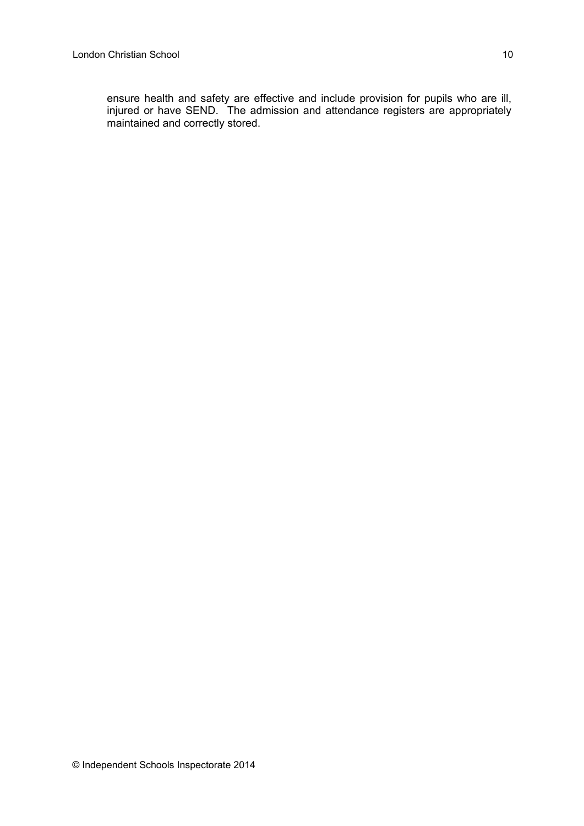ensure health and safety are effective and include provision for pupils who are ill, injured or have SEND. The admission and attendance registers are appropriately maintained and correctly stored.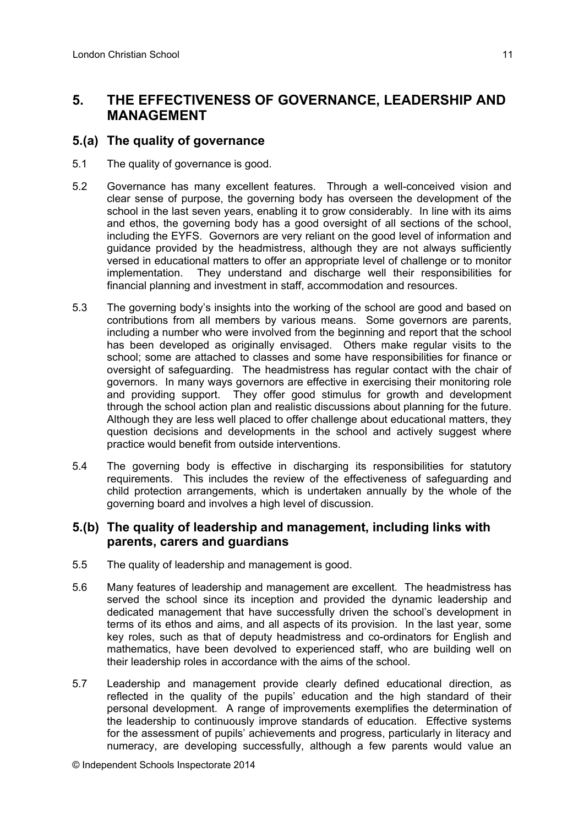## **5. THE EFFECTIVENESS OF GOVERNANCE, LEADERSHIP AND MANAGEMENT**

## **5.(a) The quality of governance**

- 5.1 The quality of governance is good.
- 5.2 Governance has many excellent features. Through a well-conceived vision and clear sense of purpose, the governing body has overseen the development of the school in the last seven years, enabling it to grow considerably. In line with its aims and ethos, the governing body has a good oversight of all sections of the school, including the EYFS. Governors are very reliant on the good level of information and guidance provided by the headmistress, although they are not always sufficiently versed in educational matters to offer an appropriate level of challenge or to monitor implementation. They understand and discharge well their responsibilities for financial planning and investment in staff, accommodation and resources.
- 5.3 The governing body's insights into the working of the school are good and based on contributions from all members by various means. Some governors are parents, including a number who were involved from the beginning and report that the school has been developed as originally envisaged. Others make regular visits to the school; some are attached to classes and some have responsibilities for finance or oversight of safeguarding. The headmistress has regular contact with the chair of governors. In many ways governors are effective in exercising their monitoring role and providing support. They offer good stimulus for growth and development through the school action plan and realistic discussions about planning for the future. Although they are less well placed to offer challenge about educational matters, they question decisions and developments in the school and actively suggest where practice would benefit from outside interventions.
- 5.4 The governing body is effective in discharging its responsibilities for statutory requirements. This includes the review of the effectiveness of safeguarding and child protection arrangements, which is undertaken annually by the whole of the governing board and involves a high level of discussion.

### **5.(b) The quality of leadership and management, including links with parents, carers and guardians**

- 5.5 The quality of leadership and management is good.
- 5.6 Many features of leadership and management are excellent. The headmistress has served the school since its inception and provided the dynamic leadership and dedicated management that have successfully driven the school's development in terms of its ethos and aims, and all aspects of its provision. In the last year, some key roles, such as that of deputy headmistress and co-ordinators for English and mathematics, have been devolved to experienced staff, who are building well on their leadership roles in accordance with the aims of the school.
- 5.7 Leadership and management provide clearly defined educational direction, as reflected in the quality of the pupils' education and the high standard of their personal development. A range of improvements exemplifies the determination of the leadership to continuously improve standards of education. Effective systems for the assessment of pupils' achievements and progress, particularly in literacy and numeracy, are developing successfully, although a few parents would value an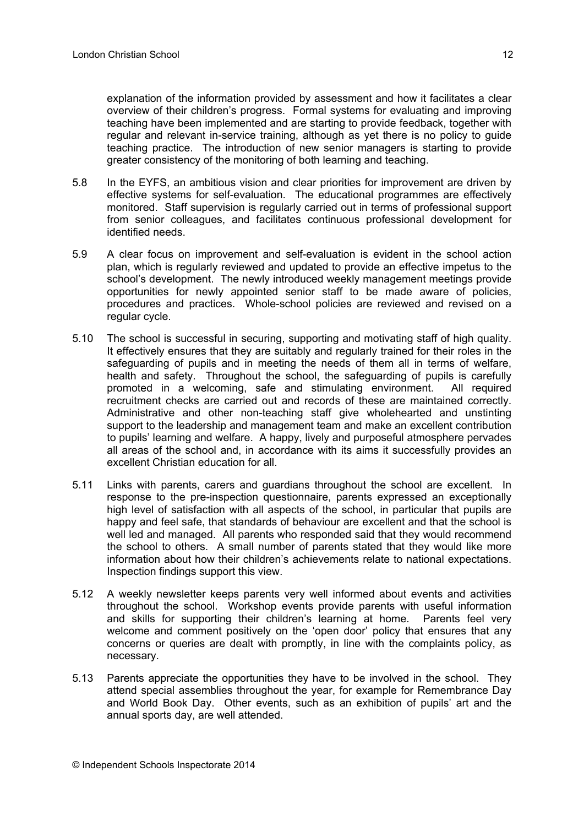explanation of the information provided by assessment and how it facilitates a clear overview of their children's progress. Formal systems for evaluating and improving teaching have been implemented and are starting to provide feedback, together with regular and relevant in-service training, although as yet there is no policy to guide teaching practice. The introduction of new senior managers is starting to provide greater consistency of the monitoring of both learning and teaching.

- 5.8 In the EYFS, an ambitious vision and clear priorities for improvement are driven by effective systems for self-evaluation. The educational programmes are effectively monitored. Staff supervision is regularly carried out in terms of professional support from senior colleagues, and facilitates continuous professional development for identified needs.
- 5.9 A clear focus on improvement and self-evaluation is evident in the school action plan, which is regularly reviewed and updated to provide an effective impetus to the school's development. The newly introduced weekly management meetings provide opportunities for newly appointed senior staff to be made aware of policies, procedures and practices. Whole-school policies are reviewed and revised on a regular cycle.
- 5.10 The school is successful in securing, supporting and motivating staff of high quality. It effectively ensures that they are suitably and regularly trained for their roles in the safeguarding of pupils and in meeting the needs of them all in terms of welfare, health and safety. Throughout the school, the safeguarding of pupils is carefully promoted in a welcoming, safe and stimulating environment. All required recruitment checks are carried out and records of these are maintained correctly. Administrative and other non-teaching staff give wholehearted and unstinting support to the leadership and management team and make an excellent contribution to pupils' learning and welfare. A happy, lively and purposeful atmosphere pervades all areas of the school and, in accordance with its aims it successfully provides an excellent Christian education for all.
- 5.11 Links with parents, carers and guardians throughout the school are excellent. In response to the pre-inspection questionnaire, parents expressed an exceptionally high level of satisfaction with all aspects of the school, in particular that pupils are happy and feel safe, that standards of behaviour are excellent and that the school is well led and managed. All parents who responded said that they would recommend the school to others. A small number of parents stated that they would like more information about how their children's achievements relate to national expectations. Inspection findings support this view.
- 5.12 A weekly newsletter keeps parents very well informed about events and activities throughout the school. Workshop events provide parents with useful information and skills for supporting their children's learning at home. Parents feel very welcome and comment positively on the 'open door' policy that ensures that any concerns or queries are dealt with promptly, in line with the complaints policy, as necessary.
- 5.13 Parents appreciate the opportunities they have to be involved in the school. They attend special assemblies throughout the year, for example for Remembrance Day and World Book Day. Other events, such as an exhibition of pupils' art and the annual sports day, are well attended.